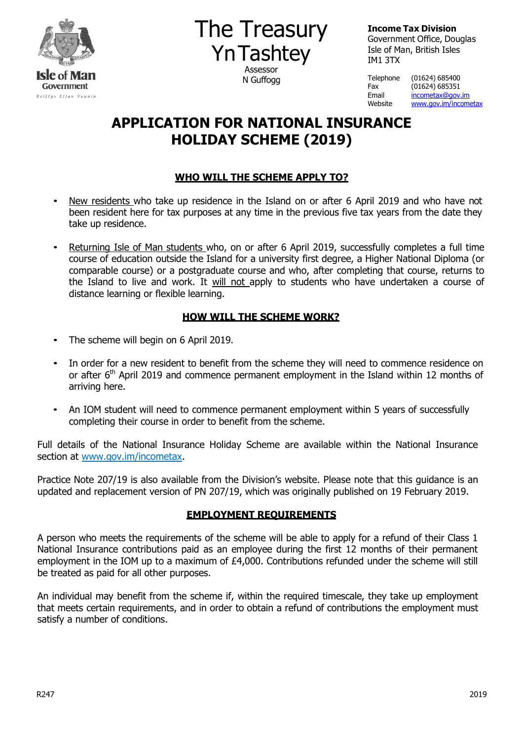

The Treasury **YnTashtey** Assessor N Guffogg

**Income Tax Division**

Government Office, Douglas Isle of Man, British Isles IM1 3TX

Telephone (01624) 685400 Fax (01624) 685351 Email [incometax@gov.im](mailto:incometax@gov.im)<br>Website www.gov.im/income [www.gov.im/incometax](http://www.gov.im/incometax)

# **APPLICATION FOR NATIONAL INSURANCE HOLIDAY SCHEME (2019)**

## **WHO WILL THE SCHEME APPLY TO?**

- New residents who take up residence in the Island on or after 6 April 2019 and who have not been resident here for tax purposes at any time in the previous five tax years from the date they take up residence.
- Returning Isle of Man students who, on or after 6 April 2019, successfully completes a full time course of education outside the Island for a university first degree, a Higher National Diploma (or comparable course) or a postgraduate course and who, after completing that course, returns to the Island to live and work. It will not apply to students who have undertaken a course of distance learning or flexible learning.

## **HOW WILL THE SCHEME WORK?**

- The scheme will begin on 6 April 2019.
- In order for a new resident to benefit from the scheme they will need to commence residence on or after 6<sup>th</sup> April 2019 and commence permanent employment in the Island within 12 months of arriving here.
- An IOM student will need to commence permanent employment within 5 years of successfully completing their course in order to benefit from the scheme.

Full details of the National Insurance Holiday Scheme are available within the National Insurance section at www.gov.im/incometax.

Practice Note 207/19 is also available from the Division's website. Please note that this guidance is an updated and replacement version of PN 207/19, which was originally published on 19 February 2019.

# **EMPLOYMENT REQUIREMENTS**

A person who meets the requirements of the scheme will be able to apply for a refund of their Class 1 National Insurance contributions paid as an employee during the first 12 months of their permanent employment in the IOM up to a maximum of £4,000. Contributions refunded under the scheme will still be treated as paid for all other purposes.

An individual may benefit from the scheme if, within the required timescale, they take up employment that meets certain requirements, and in order to obtain a refund of contributions the employment must satisfy a number of conditions.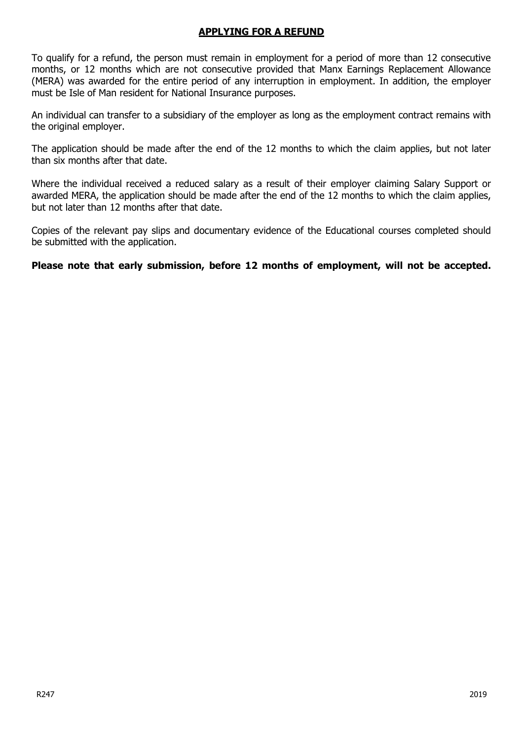#### **APPLYING FOR A REFUND**

To qualify for a refund, the person must remain in employment for a period of more than 12 consecutive months, or 12 months which are not consecutive provided that Manx Earnings Replacement Allowance (MERA) was awarded for the entire period of any interruption in employment. In addition, the employer must be Isle of Man resident for National Insurance purposes.

An individual can transfer to a subsidiary of the employer as long as the employment contract remains with the original employer.

The application should be made after the end of the 12 months to which the claim applies, but not later than six months after that date.

Where the individual received a reduced salary as a result of their employer claiming Salary Support or awarded MERA, the application should be made after the end of the 12 months to which the claim applies, but not later than 12 months after that date.

Copies of the relevant pay slips and documentary evidence of the Educational courses completed should be submitted with the application.

**Please note that early submission, before 12 months of employment, will not be accepted.**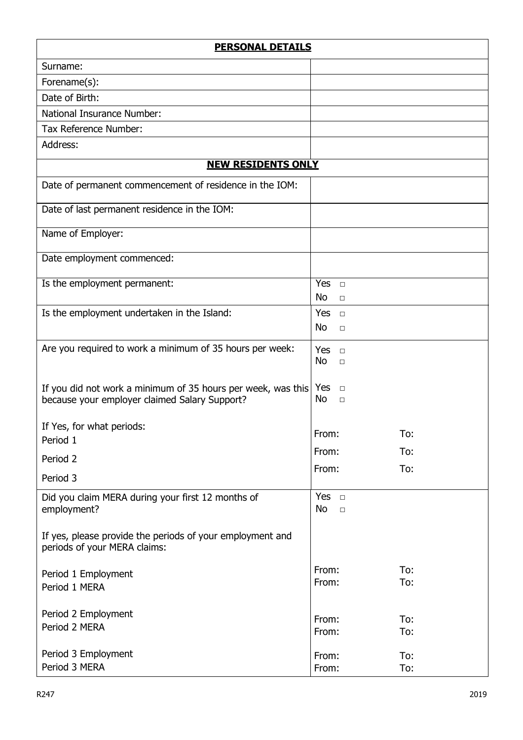| <b>PERSONAL DETAILS</b>                                                                                       |                                      |            |  |  |
|---------------------------------------------------------------------------------------------------------------|--------------------------------------|------------|--|--|
| Surname:                                                                                                      |                                      |            |  |  |
| Forename(s):                                                                                                  |                                      |            |  |  |
| Date of Birth:                                                                                                |                                      |            |  |  |
| National Insurance Number:                                                                                    |                                      |            |  |  |
| Tax Reference Number:                                                                                         |                                      |            |  |  |
| Address:                                                                                                      |                                      |            |  |  |
| <b>NEW RESIDENTS ONLY</b>                                                                                     |                                      |            |  |  |
| Date of permanent commencement of residence in the IOM:                                                       |                                      |            |  |  |
| Date of last permanent residence in the IOM:                                                                  |                                      |            |  |  |
| Name of Employer:                                                                                             |                                      |            |  |  |
| Date employment commenced:                                                                                    |                                      |            |  |  |
| Is the employment permanent:                                                                                  | Yes $\Box$                           |            |  |  |
|                                                                                                               | <b>No</b><br>$\Box$                  |            |  |  |
| Is the employment undertaken in the Island:                                                                   | <b>Yes</b><br>$\Box$                 |            |  |  |
|                                                                                                               | No<br>$\Box$                         |            |  |  |
| Are you required to work a minimum of 35 hours per week:                                                      | <b>Yes</b><br>$\Box$<br>No<br>$\Box$ |            |  |  |
| If you did not work a minimum of 35 hours per week, was this<br>because your employer claimed Salary Support? | Yes<br>$\Box$<br>No<br>$\Box$        |            |  |  |
| If Yes, for what periods:                                                                                     |                                      |            |  |  |
| Period 1                                                                                                      | From:                                | To:        |  |  |
| Period 2                                                                                                      | From:                                | To:        |  |  |
| Period 3                                                                                                      | From:                                | To:        |  |  |
| Did you claim MERA during your first 12 months of<br>employment?                                              | Yes $\Box$<br>No<br>$\Box$           |            |  |  |
| If yes, please provide the periods of your employment and<br>periods of your MERA claims:                     |                                      |            |  |  |
| Period 1 Employment<br>Period 1 MERA                                                                          | From:<br>From:                       | To:<br>To: |  |  |
| Period 2 Employment<br>Period 2 MERA                                                                          | From:<br>From:                       | To:<br>To: |  |  |
| Period 3 Employment<br>Period 3 MERA                                                                          | From:<br>From:                       | To:<br>To: |  |  |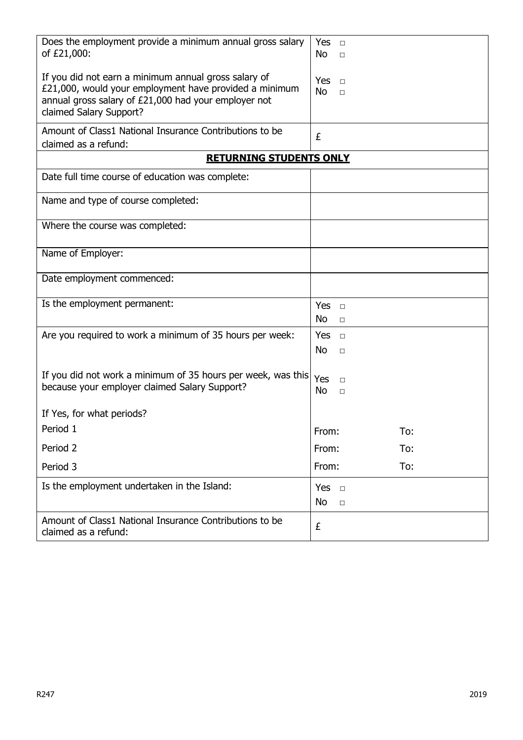| Does the employment provide a minimum annual gross salary<br>of £21,000:                                                                                                                          | Yes $\Box$<br>No<br>$\Box$           |     |  |  |
|---------------------------------------------------------------------------------------------------------------------------------------------------------------------------------------------------|--------------------------------------|-----|--|--|
| If you did not earn a minimum annual gross salary of<br>£21,000, would your employment have provided a minimum<br>annual gross salary of £21,000 had your employer not<br>claimed Salary Support? | Yes<br>$\Box$<br><b>No</b><br>$\Box$ |     |  |  |
| Amount of Class1 National Insurance Contributions to be<br>claimed as a refund:                                                                                                                   | £                                    |     |  |  |
| <b>RETURNING STUDENTS ONLY</b>                                                                                                                                                                    |                                      |     |  |  |
| Date full time course of education was complete:                                                                                                                                                  |                                      |     |  |  |
| Name and type of course completed:                                                                                                                                                                |                                      |     |  |  |
| Where the course was completed:                                                                                                                                                                   |                                      |     |  |  |
| Name of Employer:                                                                                                                                                                                 |                                      |     |  |  |
| Date employment commenced:                                                                                                                                                                        |                                      |     |  |  |
| Is the employment permanent:                                                                                                                                                                      | Yes $\Box$<br>No<br>$\Box$           |     |  |  |
| Are you required to work a minimum of 35 hours per week:                                                                                                                                          | Yes<br>$\Box$                        |     |  |  |
|                                                                                                                                                                                                   | No<br>$\Box$                         |     |  |  |
| If you did not work a minimum of 35 hours per week, was this<br>because your employer claimed Salary Support?                                                                                     | Yes<br>$\Box$<br>No<br>$\Box$        |     |  |  |
| If Yes, for what periods?                                                                                                                                                                         |                                      |     |  |  |
| Period 1                                                                                                                                                                                          | From:                                | To: |  |  |
| Period 2                                                                                                                                                                                          | From:                                | To: |  |  |
| Period 3                                                                                                                                                                                          | From:                                | To: |  |  |
| Is the employment undertaken in the Island:                                                                                                                                                       | Yes $\Box$                           |     |  |  |
|                                                                                                                                                                                                   | No<br>$\Box$                         |     |  |  |
| Amount of Class1 National Insurance Contributions to be<br>claimed as a refund:                                                                                                                   | £                                    |     |  |  |